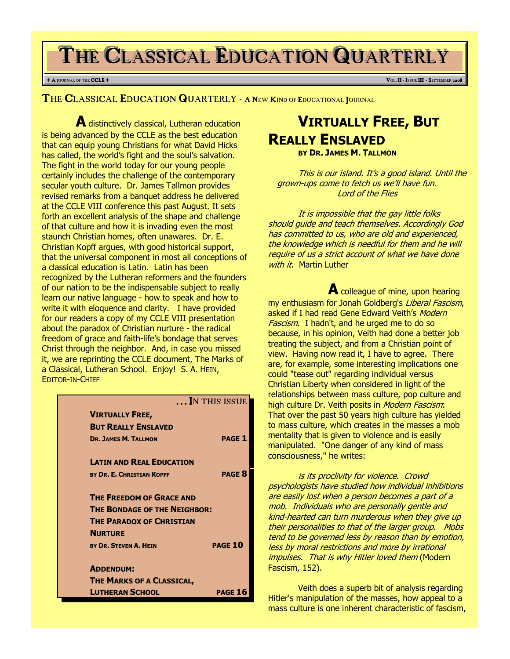# THE CLASSICAL EDUCATION QUARTERLY

### + A JOURNAL OF THE **CCLE** + **VOL. II** - SEPTEMBER 2008 **1** OUR DESCRIPTION OF THE COLLECTION OF THE COLLECTION OF THE COLLECTION OF THE COLLECTION OF THE COLLECTION OF THE COLLECTION OF THE COLLECTION OF THE COLLECTION OF

THE CLASSICAL EDUCATION QUARTERLY - <sup>A</sup> <sup>N</sup>EW KIND OF EDUCATIONAL JOURNAL

 A distinctively classical, Lutheran education is being advanced by the CCLE as the best education that can equip young Christians for what David Hicks has called, the world's fight and the soul's salvation. The fight in the world today for our young people certainly includes the challenge of the contemporary secular youth culture. Dr. James Tallmon provides revised remarks from a banquet address he delivered at the CCLE VIII conference this past August. It sets forth an excellent analysis of the shape and challenge of that culture and how it is invading even the most staunch Christian homes, often unawares. Dr. E. Christian Kopff argues, with good historical support, that the universal component in most all conceptions of a classical education is Latin. Latin has been recognized by the Lutheran reformers and the founders of our nation to be the indispensable subject to really learn our native language - how to speak and how to write it with eloquence and clarity. I have provided for our readers a copy of my CCLE VIII presentation about the paradox of Christian nurture - the radical freedom of grace and faith-life's bondage that serves Christ through the neighbor. And, in case you missed it, we are reprinting the CCLE document, The Marks of a Classical, Lutheran School. Enjoy! S. A. HEIN, EDITOR-IN-CHIEF

|                                  | IN THIS ISSUE  |
|----------------------------------|----------------|
| <b>VIRTUALLY FREE,</b>           |                |
| <b>BUT REALLY ENSLAVED</b>       |                |
| <b>DR. JAMES M. TALLMON</b>      | <b>PAGE 1</b>  |
| <b>LATIN AND REAL EDUCATION</b>  |                |
| <b>BY DR. E. CHRISTIAN KOPFF</b> | <b>PAGE 8</b>  |
| <b>THE FREEDOM OF GRACE AND</b>  |                |
| THE BONDAGE OF THE NEIGHBOR:     |                |
| <b>THE PARADOX OF CHRISTIAN</b>  |                |
| <b>NURTURE</b>                   |                |
| BY DR. STEVEN A. HEIN            | <b>PAGE 10</b> |
| <b>ADDENDUM:</b>                 |                |
| THE MARKS OF A CLASSICAL,        |                |
| <b>LUTHERAN SCHOOL</b>           | <b>PAGE 16</b> |
|                                  |                |

## VIRTUALLY FREE, BUT REALLY ENSLAVED

BY DR. JAMES M. TALLMON

This is our island. It's a good island. Until the grown-ups come to fetch us we'll have fun. Lord of the Flies

It is impossible that the gay little folks should guide and teach themselves. Accordingly God has committed to us, who are old and experienced, the knowledge which is needful for them and he will require of us a strict account of what we have done with it. Martin Luther

A colleague of mine, upon hearing my enthusiasm for Jonah Goldberg's Liberal Fascism, asked if I had read Gene Edward Veith's Modern Fascism. I hadn't, and he urged me to do so because, in his opinion, Veith had done a better job treating the subject, and from a Christian point of view. Having now read it, I have to agree. There are, for example, some interesting implications one could "tease out" regarding individual versus Christian Liberty when considered in light of the relationships between mass culture, pop culture and high culture Dr. Veith posits in *Modern Fascism*: That over the past 50 years high culture has yielded to mass culture, which creates in the masses a mob mentality that is given to violence and is easily manipulated. "One danger of any kind of mass consciousness," he writes:

is its proclivity for violence. Crowd psychologists have studied how individual inhibitions are easily lost when a person becomes a part of a mob. Individuals who are personally gentle and kind-hearted can turn murderous when they give up their personalities to that of the larger group. Mobs tend to be governed less by reason than by emotion, less by moral restrictions and more by irrational impulses. That is why Hitler loved them (Modern Fascism, 152).

Veith does a superb bit of analysis regarding Hitler's manipulation of the masses, how appeal to a mass culture is one inherent characteristic of fascism,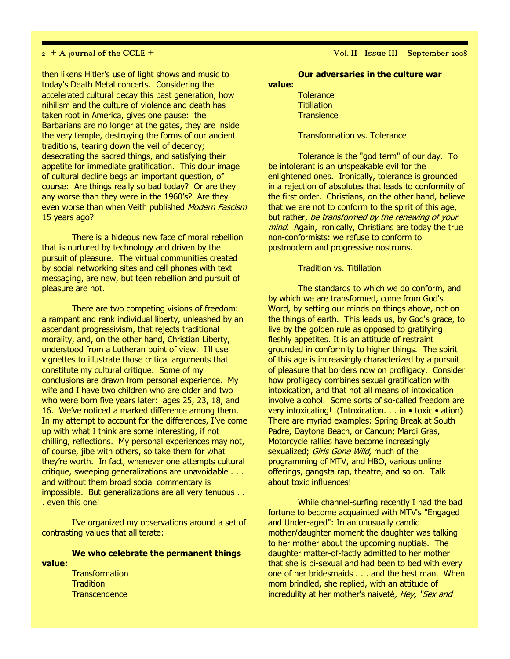then likens Hitler's use of light shows and music to today's Death Metal concerts. Considering the accelerated cultural decay this past generation, how nihilism and the culture of violence and death has taken root in America, gives one pause: the Barbarians are no longer at the gates, they are inside the very temple, destroying the forms of our ancient traditions, tearing down the veil of decency; desecrating the sacred things, and satisfying their appetite for immediate gratification. This dour image of cultural decline begs an important question, of course: Are things really so bad today? Or are they any worse than they were in the 1960's? Are they even worse than when Veith published Modern Fascism 15 years ago?

There is a hideous new face of moral rebellion that is nurtured by technology and driven by the pursuit of pleasure. The virtual communities created by social networking sites and cell phones with text messaging, are new, but teen rebellion and pursuit of pleasure are not.

There are two competing visions of freedom: a rampant and rank individual liberty, unleashed by an ascendant progressivism, that rejects traditional morality, and, on the other hand, Christian Liberty, understood from a Lutheran point of view. I'll use vignettes to illustrate those critical arguments that constitute my cultural critique. Some of my conclusions are drawn from personal experience. My wife and I have two children who are older and two who were born five years later: ages 25, 23, 18, and 16. We've noticed a marked difference among them. In my attempt to account for the differences, I've come up with what I think are some interesting, if not chilling, reflections. My personal experiences may not, of course, jibe with others, so take them for what they're worth. In fact, whenever one attempts cultural critique, sweeping generalizations are unavoidable . . . and without them broad social commentary is impossible. But generalizations are all very tenuous . . . even this one!

I've organized my observations around a set of contrasting values that alliterate:

## We who celebrate the permanent things value: **Transformation**

**Tradition Transcendence** 

### 2 + A journal of the CCLE +  $\overline{V}$  Vol. II - Issue III - September 2008

## Our adversaries in the culture war

value:

Tolerance **Titillation Transience** 

Transformation vs. Tolerance

Tolerance is the "god term" of our day. To be intolerant is an unspeakable evil for the enlightened ones. Ironically, tolerance is grounded in a rejection of absolutes that leads to conformity of the first order. Christians, on the other hand, believe that we are not to conform to the spirit of this age, but rather, be transformed by the renewing of your mind. Again, ironically, Christians are today the true non-conformists: we refuse to conform to postmodern and progressive nostrums.

## Tradition vs. Titillation

The standards to which we do conform, and by which we are transformed, come from God's Word, by setting our minds on things above, not on the things of earth. This leads us, by God's grace, to live by the golden rule as opposed to gratifying fleshly appetites. It is an attitude of restraint grounded in conformity to higher things. The spirit of this age is increasingly characterized by a pursuit of pleasure that borders now on profligacy. Consider how profligacy combines sexual gratification with intoxication, and that not all means of intoxication involve alcohol. Some sorts of so-called freedom are very intoxicating! (Intoxication. . . in • toxic • ation) There are myriad examples: Spring Break at South Padre, Daytona Beach, or Cancun; Mardi Gras, Motorcycle rallies have become increasingly sexualized; Girls Gone Wild, much of the programming of MTV, and HBO, various online offerings, gangsta rap, theatre, and so on. Talk about toxic influences!

While channel-surfing recently I had the bad fortune to become acquainted with MTV's "Engaged and Under-aged": In an unusually candid mother/daughter moment the daughter was talking to her mother about the upcoming nuptials. The daughter matter-of-factly admitted to her mother that she is bi-sexual and had been to bed with every one of her bridesmaids . . . and the best man. When mom brindled, she replied, with an attitude of incredulity at her mother's naiveté, Hey, "Sex and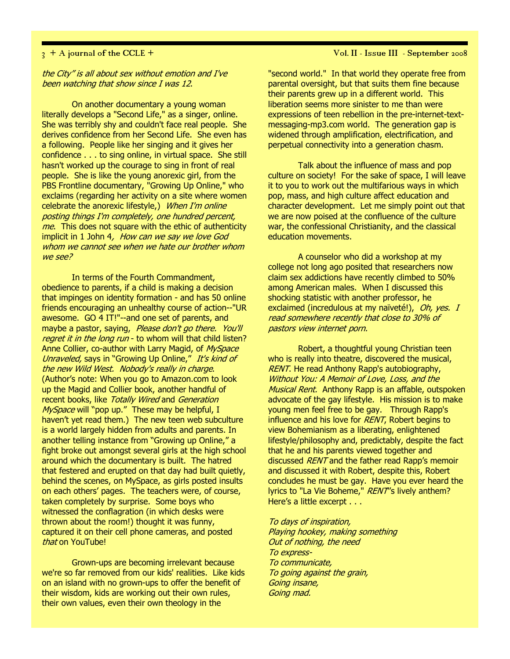## the City" is all about sex without emotion and I've been watching that show since I was 12.

On another documentary a young woman literally develops a "Second Life," as a singer, online. She was terribly shy and couldn't face real people. She derives confidence from her Second Life. She even has a following. People like her singing and it gives her confidence . . . to sing online, in virtual space. She still hasn't worked up the courage to sing in front of real people. She is like the young anorexic girl, from the PBS Frontline documentary, "Growing Up Online," who exclaims (regarding her activity on a site where women celebrate the anorexic lifestyle,) When I'm online posting things I'm completely, one hundred percent, me. This does not square with the ethic of authenticity implicit in 1 John 4, How can we say we love God whom we cannot see when we hate our brother whom we see?

In terms of the Fourth Commandment, obedience to parents, if a child is making a decision that impinges on identity formation - and has 50 online friends encouraging an unhealthy course of action--"UR awesome. GO 4 IT!"--and one set of parents, and maybe a pastor, saying, Please don't go there. You'll regret it in the long run - to whom will that child listen? Anne Collier, co-author with Larry Magid, of MySpace Unraveled, says in "Growing Up Online," It's kind of the new Wild West. Nobody's really in charge. (Author's note: When you go to Amazon.com to look up the Magid and Collier book, another handful of recent books, like Totally Wired and Generation MySpace will "pop up." These may be helpful, I haven't yet read them.) The new teen web subculture is a world largely hidden from adults and parents. In another telling instance from "Growing up Online," a fight broke out amongst several girls at the high school around which the documentary is built. The hatred that festered and erupted on that day had built quietly, behind the scenes, on MySpace, as girls posted insults on each others' pages. The teachers were, of course, taken completely by surprise. Some boys who witnessed the conflagration (in which desks were thrown about the room!) thought it was funny, captured it on their cell phone cameras, and posted that on YouTube!

Grown-ups are becoming irrelevant because we're so far removed from our kids' realities. Like kids on an island with no grown-ups to offer the benefit of their wisdom, kids are working out their own rules, their own values, even their own theology in the

### $3 + A$  journal of the CCLE +  $\overline{V}$  vol. II - Issue III - September 2008

"second world." In that world they operate free from parental oversight, but that suits them fine because their parents grew up in a different world. This liberation seems more sinister to me than were expressions of teen rebellion in the pre-internet-textmessaging-mp3.com world. The generation gap is widened through amplification, electrification, and perpetual connectivity into a generation chasm.

Talk about the influence of mass and pop culture on society! For the sake of space, I will leave it to you to work out the multifarious ways in which pop, mass, and high culture affect education and character development. Let me simply point out that we are now poised at the confluence of the culture war, the confessional Christianity, and the classical education movements.

A counselor who did a workshop at my college not long ago posited that researchers now claim sex addictions have recently climbed to 50% among American males. When I discussed this shocking statistic with another professor, he exclaimed (incredulous at my naïveté!), Oh, yes. I read somewhere recently that close to 30% of pastors view internet porn.

Robert, a thoughtful young Christian teen who is really into theatre, discovered the musical, RENT. He read Anthony Rapp's autobiography, Without You: A Memoir of Love, Loss, and the Musical Rent. Anthony Rapp is an affable, outspoken advocate of the gay lifestyle. His mission is to make young men feel free to be gay. Through Rapp's influence and his love for *RENT*, Robert begins to view Bohemianism as a liberating, enlightened lifestyle/philosophy and, predictably, despite the fact that he and his parents viewed together and discussed RENT and the father read Rapp's memoir and discussed it with Robert, despite this, Robert concludes he must be gay. Have you ever heard the lyrics to "La Vie Boheme," RENT's lively anthem? Here's a little excerpt . . .

To days of inspiration, Playing hookey, making something Out of nothing, the need To express-To communicate, To going against the grain, Going insane, Going mad.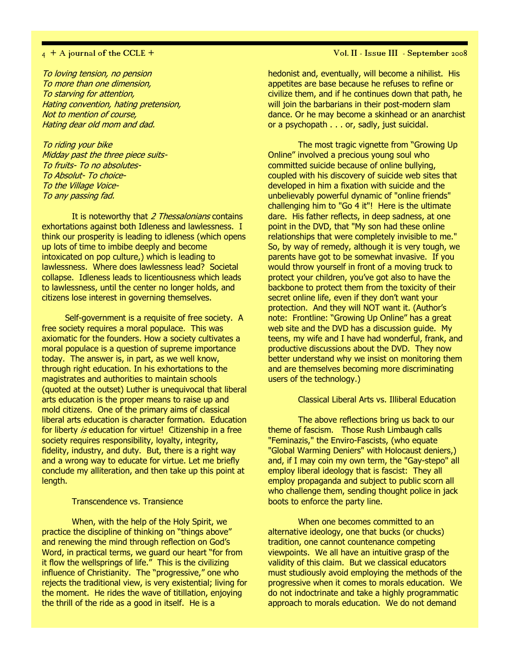To loving tension, no pension To more than one dimension, To starving for attention, Hating convention, hating pretension, Not to mention of course, Hating dear old mom and dad.

To riding your bike Midday past the three piece suits-To fruits- To no absolutes-To Absolut- To choice-To the Village Voice-To any passing fad.

It is noteworthy that 2 Thessalonians contains exhortations against both Idleness and lawlessness. I think our prosperity is leading to idleness (which opens up lots of time to imbibe deeply and become intoxicated on pop culture,) which is leading to lawlessness. Where does lawlessness lead? Societal collapse. Idleness leads to licentiousness which leads to lawlessness, until the center no longer holds, and citizens lose interest in governing themselves.

Self-government is a requisite of free society. A free society requires a moral populace. This was axiomatic for the founders. How a society cultivates a moral populace is a question of supreme importance today. The answer is, in part, as we well know, through right education. In his exhortations to the magistrates and authorities to maintain schools (quoted at the outset) Luther is unequivocal that liberal arts education is the proper means to raise up and mold citizens. One of the primary aims of classical liberal arts education is character formation. Education for liberty is education for virtue! Citizenship in a free society requires responsibility, loyalty, integrity, fidelity, industry, and duty. But, there is a right way and a wrong way to educate for virtue. Let me briefly conclude my alliteration, and then take up this point at length.

## Transcendence vs. Transience

When, with the help of the Holy Spirit, we practice the discipline of thinking on "things above" and renewing the mind through reflection on God's Word, in practical terms, we guard our heart "for from it flow the wellsprings of life." This is the civilizing influence of Christianity. The "progressive," one who rejects the traditional view, is very existential; living for the moment. He rides the wave of titillation, enjoying the thrill of the ride as a good in itself. He is a

### $4 + A$  journal of the CCLE +  $V$ ol. II - Issue III - September 2008

hedonist and, eventually, will become a nihilist. His appetites are base because he refuses to refine or civilize them, and if he continues down that path, he will join the barbarians in their post-modern slam dance. Or he may become a skinhead or an anarchist or a psychopath . . . or, sadly, just suicidal.

The most tragic vignette from "Growing Up Online" involved a precious young soul who committed suicide because of online bullying, coupled with his discovery of suicide web sites that developed in him a fixation with suicide and the unbelievably powerful dynamic of "online friends" challenging him to "Go 4 it"! Here is the ultimate dare. His father reflects, in deep sadness, at one point in the DVD, that "My son had these online relationships that were completely invisible to me." So, by way of remedy, although it is very tough, we parents have got to be somewhat invasive. If you would throw yourself in front of a moving truck to protect your children, you've got also to have the backbone to protect them from the toxicity of their secret online life, even if they don't want your protection. And they will NOT want it. (Author's note: Frontline: "Growing Up Online" has a great web site and the DVD has a discussion guide. My teens, my wife and I have had wonderful, frank, and productive discussions about the DVD. They now better understand why we insist on monitoring them and are themselves becoming more discriminating users of the technology.)

## Classical Liberal Arts vs. Illiberal Education

The above reflections bring us back to our theme of fascism. Those Rush Limbaugh calls "Feminazis," the Enviro-Fascists, (who equate "Global Warming Deniers" with Holocaust deniers,) and, if I may coin my own term, the "Gay-stepo" all employ liberal ideology that is fascist: They all employ propaganda and subject to public scorn all who challenge them, sending thought police in jack boots to enforce the party line.

When one becomes committed to an alternative ideology, one that bucks (or chucks) tradition, one cannot countenance competing viewpoints. We all have an intuitive grasp of the validity of this claim. But we classical educators must studiously avoid employing the methods of the progressive when it comes to morals education. We do not indoctrinate and take a highly programmatic approach to morals education. We do not demand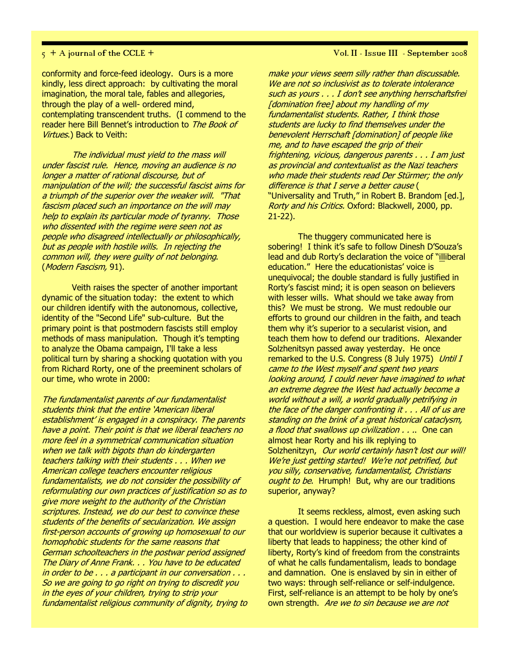conformity and force-feed ideology. Ours is a more kindly, less direct approach: by cultivating the moral imagination, the moral tale, fables and allegories, through the play of a well- ordered mind, contemplating transcendent truths. (I commend to the reader here Bill Bennet's introduction to The Book of Virtues.) Back to Veith:

The individual must yield to the mass will under fascist rule. Hence, moving an audience is no longer a matter of rational discourse, but of manipulation of the will; the successful fascist aims for a triumph of the superior over the weaker will. "That fascism placed such an importance on the will may help to explain its particular mode of tyranny. Those who dissented with the regime were seen not as people who disagreed intellectually or philosophically, but as people with hostile wills. In rejecting the common will, they were guilty of not belonging. (Modern Fascism, 91).

Veith raises the specter of another important dynamic of the situation today: the extent to which our children identify with the autonomous, collective, identity of the "Second Life" sub-culture. But the primary point is that postmodern fascists still employ methods of mass manipulation. Though it's tempting to analyze the Obama campaign, I'll take a less political turn by sharing a shocking quotation with you from Richard Rorty, one of the preeminent scholars of our time, who wrote in 2000:

The fundamentalist parents of our fundamentalist students think that the entire 'American liberal establishment' is engaged in a conspiracy. The parents have a point. Their point is that we liberal teachers no more feel in a symmetrical communication situation when we talk with bigots than do kindergarten teachers talking with their students . . . When we American college teachers encounter religious fundamentalists, we do not consider the possibility of reformulating our own practices of justification so as to give more weight to the authority of the Christian scriptures. Instead, we do our best to convince these students of the benefits of secularization. We assign first-person accounts of growing up homosexual to our homophobic students for the same reasons that German schoolteachers in the postwar period assigned The Diary of Anne Frank. . . You have to be educated in order to be . . . a participant in our conversation . . . So we are going to go right on trying to discredit you in the eyes of your children, trying to strip your fundamentalist religious community of dignity, trying to

### $5 + A$  journal of the CCLE +  $V$ ol. II - Issue III - September 2008

make your views seem silly rather than discussable. We are not so inclusivist as to tolerate intolerance such as yours . . . I don't see anything herrschaftsfrei [domination free] about my handling of my fundamentalist students. Rather, I think those students are lucky to find themselves under the benevolent Herrschaft [domination] of people like me, and to have escaped the grip of their frightening, vicious, dangerous parents . . . I am just as provincial and contextualist as the Nazi teachers who made their students read Der Stürmer; the only difference is that I serve a better cause ( "Universality and Truth," in Robert B. Brandom [ed.], Rorty and his Critics. Oxford: Blackwell, 2000, pp. 21-22).

The thuggery communicated here is sobering! I think it's safe to follow Dinesh D'Souza's lead and dub Rorty's declaration the voice of "illiberal education." Here the educationistas' voice is unequivocal; the double standard is fully justified in Rorty's fascist mind; it is open season on believers with lesser wills. What should we take away from this? We must be strong. We must redouble our efforts to ground our children in the faith, and teach them why it's superior to a secularist vision, and teach them how to defend our traditions. Alexander Solzhenitsyn passed away yesterday. He once remarked to the U.S. Congress (8 July 1975) Until I came to the West myself and spent two years looking around, I could never have imagined to what an extreme degree the West had actually become a world without a will, a world gradually petrifying in the face of the danger confronting it . . . All of us are standing on the brink of a great historical cataclysm, a flood that swallows up civilization . . .. One can almost hear Rorty and his ilk replying to Solzhenitzyn, *Our world certainly hasn't lost our will!* We're just getting started! We're not petrified, but you silly, conservative, fundamentalist, Christians ought to be. Hrumph! But, why are our traditions superior, anyway?

It seems reckless, almost, even asking such a question. I would here endeavor to make the case that our worldview is superior because it cultivates a liberty that leads to happiness; the other kind of liberty, Rorty's kind of freedom from the constraints of what he calls fundamentalism, leads to bondage and damnation. One is enslaved by sin in either of two ways: through self-reliance or self-indulgence. First, self-reliance is an attempt to be holy by one's own strength. Are we to sin because we are not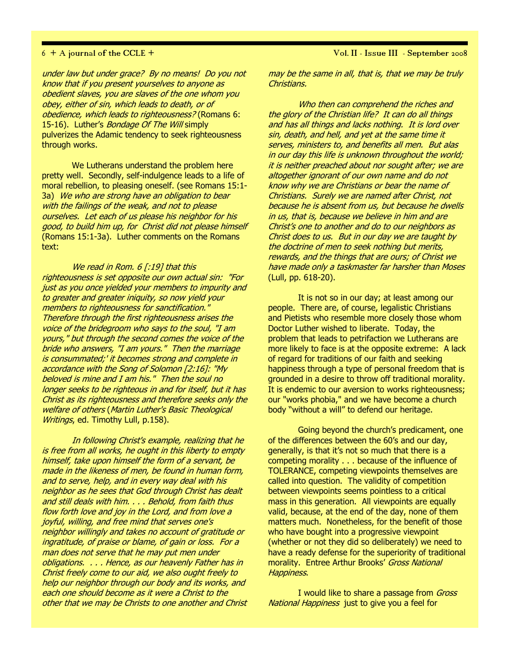under law but under grace? By no means! Do you not know that if you present yourselves to anyone as obedient slaves, you are slaves of the one whom you obey, either of sin, which leads to death, or of obedience, which leads to righteousness? (Romans 6: 15-16). Luther's *Bondage Of The Will* simply pulverizes the Adamic tendency to seek righteousness through works.

We Lutherans understand the problem here pretty well. Secondly, self-indulgence leads to a life of moral rebellion, to pleasing oneself. (see Romans 15:1- 3a) We who are strong have an obligation to bear with the failings of the weak, and not to please ourselves. Let each of us please his neighbor for his good, to build him up, for Christ did not please himself (Romans 15:1-3a). Luther comments on the Romans text:

We read in Rom. 6 [:19] that this righteousness is set opposite our own actual sin: "For just as you once yielded your members to impurity and to greater and greater iniquity, so now yield your members to righteousness for sanctification." Therefore through the first righteousness arises the voice of the bridegroom who says to the soul, "I am yours," but through the second comes the voice of the bride who answers, "I am yours." Then the marriage is consummated;' it becomes strong and complete in accordance with the Song of Solomon [2:16]: "My beloved is mine and I am his." Then the soul no longer seeks to be righteous in and for itself, but it has Christ as its righteousness and therefore seeks only the welfare of others (Martin Luther's Basic Theological Writings, ed. Timothy Lull, p.158).

In following Christ's example, realizing that he is free from all works, he ought in this liberty to empty himself, take upon himself the form of a servant, be made in the likeness of men, be found in human form, and to serve, help, and in every way deal with his neighbor as he sees that God through Christ has dealt and still deals with him. . . . Behold, from faith thus flow forth love and joy in the Lord, and from love a joyful, willing, and free mind that serves one's neighbor willingly and takes no account of gratitude or ingratitude, of praise or blame, of gain or loss. For a man does not serve that he may put men under obligations. . . . Hence, as our heavenly Father has in Christ freely come to our aid, we also ought freely to help our neighbor through our body and its works, and each one should become as it were a Christ to the other that we may be Christs to one another and Christ may be the same in all, that is, that we may be truly Christians.

Who then can comprehend the riches and the glory of the Christian life? It can do all things and has all things and lacks nothing. It is lord over sin, death, and hell, and yet at the same time it serves, ministers to, and benefits all men. But alas in our day this life is unknown throughout the world; it is neither preached about nor sought after; we are altogether ignorant of our own name and do not know why we are Christians or bear the name of Christians. Surely we are named after Christ, not because he is absent from us, but because he dwells in us, that is, because we believe in him and are Christ's one to another and do to our neighbors as Christ does to us. But in our day we are taught by the doctrine of men to seek nothing but merits, rewards, and the things that are ours; of Christ we have made only a taskmaster far harsher than Moses (Lull, pp. 618-20).

It is not so in our day; at least among our people. There are, of course, legalistic Christians and Pietists who resemble more closely those whom Doctor Luther wished to liberate. Today, the problem that leads to petrifaction we Lutherans are more likely to face is at the opposite extreme: A lack of regard for traditions of our faith and seeking happiness through a type of personal freedom that is grounded in a desire to throw off traditional morality. It is endemic to our aversion to works righteousness; our "works phobia," and we have become a church body "without a will" to defend our heritage.

Going beyond the church's predicament, one of the differences between the 60's and our day, generally, is that it's not so much that there is a competing morality . . . because of the influence of TOLERANCE, competing viewpoints themselves are called into question. The validity of competition between viewpoints seems pointless to a critical mass in this generation. All viewpoints are equally valid, because, at the end of the day, none of them matters much. Nonetheless, for the benefit of those who have bought into a progressive viewpoint (whether or not they did so deliberately) we need to have a ready defense for the superiority of traditional morality. Entree Arthur Brooks' Gross National Happiness.

I would like to share a passage from *Gross* National Happiness just to give you a feel for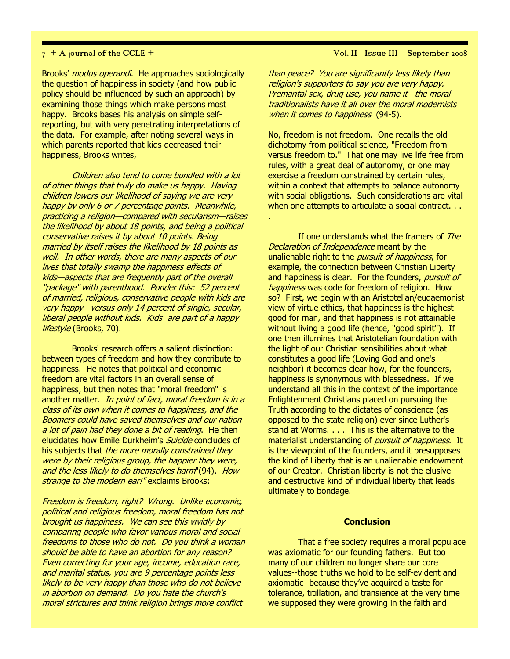Brooks' *modus operandi*. He approaches sociologically the question of happiness in society (and how public policy should be influenced by such an approach) by examining those things which make persons most happy. Brooks bases his analysis on simple selfreporting, but with very penetrating interpretations of the data. For example, after noting several ways in which parents reported that kids decreased their happiness, Brooks writes,

Children also tend to come bundled with a lot of other things that truly do make us happy. Having children lowers our likelihood of saying we are very happy by only 6 or 7 percentage points. Meanwhile, practicing a religion—compared with secularism—raises the likelihood by about 18 points, and being a political conservative raises it by about 10 points. Being married by itself raises the likelihood by 18 points as well. In other words, there are many aspects of our lives that totally swamp the happiness effects of kids—aspects that are frequently part of the overall "package" with parenthood. Ponder this: 52 percent of married, religious, conservative people with kids are very happy—versus only 14 percent of single, secular, liberal people without kids. Kids are part of a happy lifestyle (Brooks, 70).

Brooks' research offers a salient distinction: between types of freedom and how they contribute to happiness. He notes that political and economic freedom are vital factors in an overall sense of happiness, but then notes that "moral freedom" is another matter. In point of fact, moral freedom is in a class of its own when it comes to happiness, and the Boomers could have saved themselves and our nation a lot of pain had they done a bit of reading. He then elucidates how Emile Durkheim's *Suicide* concludes of his subjects that *the more morally constrained they* were by their religious group, the happier they were, and the less likely to do themselves harm"(94). How strange to the modern ear!" exclaims Brooks:

Freedom is freedom, right? Wrong. Unlike economic, political and religious freedom, moral freedom has not brought us happiness. We can see this vividly by comparing people who favor various moral and social freedoms to those who do not. Do you think a woman should be able to have an abortion for any reason? Even correcting for your age, income, education race, and marital status, you are 9 percentage points less likely to be very happy than those who do not believe in abortion on demand. Do you hate the church's moral strictures and think religion brings more conflict

### $7 + A$  journal of the CCLE +  $V$ ol. II - Issue III - September 2008

than peace? You are significantly less likely than religion's supporters to say you are very happy. Premarital sex, drug use, you name it—the moral traditionalists have it all over the moral modernists when it comes to happiness (94-5).

No, freedom is not freedom. One recalls the old dichotomy from political science, "Freedom from versus freedom to." That one may live life free from rules, with a great deal of autonomy, or one may exercise a freedom constrained by certain rules, within a context that attempts to balance autonomy with social obligations. Such considerations are vital when one attempts to articulate a social contract. . . .

If one understands what the framers of The Declaration of Independence meant by the unalienable right to the *pursuit of happiness*, for example, the connection between Christian Liberty and happiness is clear. For the founders, *pursuit of* happiness was code for freedom of religion. How so? First, we begin with an Aristotelian/eudaemonist view of virtue ethics, that happiness is the highest good for man, and that happiness is not attainable without living a good life (hence, "good spirit"). If one then illumines that Aristotelian foundation with the light of our Christian sensibilities about what constitutes a good life (Loving God and one's neighbor) it becomes clear how, for the founders, happiness is synonymous with blessedness. If we understand all this in the context of the importance Enlightenment Christians placed on pursuing the Truth according to the dictates of conscience (as opposed to the state religion) ever since Luther's stand at Worms. . . . This is the alternative to the materialist understanding of *pursuit of happiness*. It is the viewpoint of the founders, and it presupposes the kind of Liberty that is an unalienable endowment of our Creator. Christian liberty is not the elusive and destructive kind of individual liberty that leads ultimately to bondage.

## **Conclusion**

That a free society requires a moral populace was axiomatic for our founding fathers. But too many of our children no longer share our core values--those truths we hold to be self-evident and axiomatic--because they've acquired a taste for tolerance, titillation, and transience at the very time we supposed they were growing in the faith and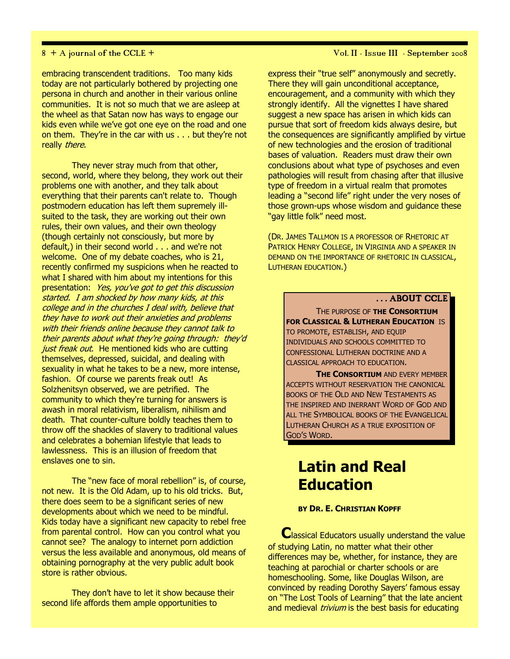embracing transcendent traditions. Too many kids today are not particularly bothered by projecting one persona in church and another in their various online communities. It is not so much that we are asleep at the wheel as that Satan now has ways to engage our kids even while we've got one eye on the road and one on them. They're in the car with us . . . but they're not really *there*.

They never stray much from that other, second, world, where they belong, they work out their problems one with another, and they talk about everything that their parents can't relate to. Though postmodern education has left them supremely illsuited to the task, they are working out their own rules, their own values, and their own theology (though certainly not consciously, but more by default,) in their second world . . . and we're not welcome. One of my debate coaches, who is 21, recently confirmed my suspicions when he reacted to what I shared with him about my intentions for this presentation: Yes, you've got to get this discussion started. I am shocked by how many kids, at this college and in the churches I deal with, believe that they have to work out their anxieties and problems with their friends online because they cannot talk to their parents about what they're going through: they'd just freak out. He mentioned kids who are cutting themselves, depressed, suicidal, and dealing with sexuality in what he takes to be a new, more intense, fashion. Of course we parents freak out! As Solzhenitsyn observed, we are petrified. The community to which they're turning for answers is awash in moral relativism, liberalism, nihilism and death. That counter-culture boldly teaches them to throw off the shackles of slavery to traditional values and celebrates a bohemian lifestyle that leads to lawlessness. This is an illusion of freedom that enslaves one to sin.

The "new face of moral rebellion" is, of course, not new. It is the Old Adam, up to his old tricks. But, there does seem to be a significant series of new developments about which we need to be mindful. Kids today have a significant new capacity to rebel free from parental control. How can you control what you cannot see? The analogy to internet porn addiction versus the less available and anonymous, old means of obtaining pornography at the very public adult book store is rather obvious.

They don't have to let it show because their second life affords them ample opportunities to

### 8 + A journal of the CCLE + Vol. II - Issue III - September 2008

express their "true self" anonymously and secretly. There they will gain unconditional acceptance, encouragement, and a community with which they strongly identify. All the vignettes I have shared suggest a new space has arisen in which kids can pursue that sort of freedom kids always desire, but the consequences are significantly amplified by virtue of new technologies and the erosion of traditional bases of valuation. Readers must draw their own conclusions about what type of psychoses and even pathologies will result from chasing after that illusive type of freedom in a virtual realm that promotes leading a "second life" right under the very noses of those grown-ups whose wisdom and guidance these "gay little folk" need most.

(DR. JAMES TALLMON IS A PROFESSOR OF RHETORIC AT PATRICK HENRY COLLEGE, IN VIRGINIA AND A SPEAKER IN DEMAND ON THE IMPORTANCE OF RHETORIC IN CLASSICAL, LUTHERAN EDUCATION.)

## ... ABOUT CCLE

THE PURPOSE OF THE CONSORTIUM FOR CLASSICAL & LUTHERAN EDUCATION IS TO PROMOTE, ESTABLISH, AND EQUIP INDIVIDUALS AND SCHOOLS COMMITTED TO CONFESSIONAL LUTHERAN DOCTRINE AND A CLASSICAL APPROACH TO EDUCATION.

**THE CONSORTIUM AND EVERY MEMBER** ACCEPTS WITHOUT RESERVATION THE CANONICAL BOOKS OF THE OLD AND NEW TESTAMENTS AS THE INSPIRED AND INERRANT WORD OF GOD AND ALL THE SYMBOLICAL BOOKS OF THE EVANGELICAL LUTHERAN CHURCH AS A TRUE EXPOSITION OF GOD'S WORD.

## Latin and Real Education

## BY DR. E. CHRISTIAN KOPFF

**Classical Educators usually understand the value** of studying Latin, no matter what their other differences may be, whether, for instance, they are teaching at parochial or charter schools or are homeschooling. Some, like Douglas Wilson, are convinced by reading Dorothy Sayers' famous essay on "The Lost Tools of Learning" that the late ancient and medieval *trivium* is the best basis for educating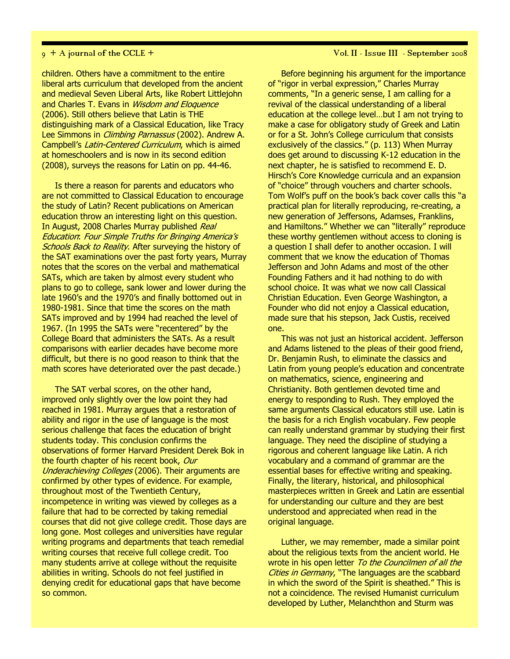children. Others have a commitment to the entire liberal arts curriculum that developed from the ancient and medieval Seven Liberal Arts, like Robert Littlejohn and Charles T. Evans in Wisdom and Eloquence (2006). Still others believe that Latin is THE distinguishing mark of a Classical Education, like Tracy Lee Simmons in *Climbing Parnassus* (2002). Andrew A. Campbell's Latin-Centered Curriculum, which is aimed at homeschoolers and is now in its second edition (2008), surveys the reasons for Latin on pp. 44-46.

 Is there a reason for parents and educators who are not committed to Classical Education to encourage the study of Latin? Recent publications on American education throw an interesting light on this question. In August, 2008 Charles Murray published Real Education: Four Simple Truths for Bringing America's Schools Back to Reality. After surveying the history of the SAT examinations over the past forty years, Murray notes that the scores on the verbal and mathematical SATs, which are taken by almost every student who plans to go to college, sank lower and lower during the late 1960's and the 1970's and finally bottomed out in 1980-1981. Since that time the scores on the math SATs improved and by 1994 had reached the level of 1967. (In 1995 the SATs were "recentered" by the College Board that administers the SATs. As a result comparisons with earlier decades have become more difficult, but there is no good reason to think that the math scores have deteriorated over the past decade.)

 The SAT verbal scores, on the other hand, improved only slightly over the low point they had reached in 1981. Murray argues that a restoration of ability and rigor in the use of language is the most serious challenge that faces the education of bright students today. This conclusion confirms the observations of former Harvard President Derek Bok in the fourth chapter of his recent book, Our Underachieving Colleges (2006). Their arguments are confirmed by other types of evidence. For example, throughout most of the Twentieth Century, incompetence in writing was viewed by colleges as a failure that had to be corrected by taking remedial courses that did not give college credit. Those days are long gone. Most colleges and universities have regular writing programs and departments that teach remedial writing courses that receive full college credit. Too many students arrive at college without the requisite abilities in writing. Schools do not feel justified in denying credit for educational gaps that have become so common.

### 9 + A journal of the CCLE + Vol. II - Issue III - September 2008

 Before beginning his argument for the importance of "rigor in verbal expression," Charles Murray comments, "In a generic sense, I am calling for a revival of the classical understanding of a liberal education at the college level…but I am not trying to make a case for obligatory study of Greek and Latin or for a St. John's College curriculum that consists exclusively of the classics." (p. 113) When Murray does get around to discussing K-12 education in the next chapter, he is satisfied to recommend E. D. Hirsch's Core Knowledge curricula and an expansion of "choice" through vouchers and charter schools. Tom Wolf's puff on the book's back cover calls this "a practical plan for literally reproducing, re-creating, a new generation of Jeffersons, Adamses, Franklins, and Hamiltons." Whether we can "literally" reproduce these worthy gentlemen without access to cloning is a question I shall defer to another occasion. I will comment that we know the education of Thomas Jefferson and John Adams and most of the other Founding Fathers and it had nothing to do with school choice. It was what we now call Classical Christian Education. Even George Washington, a Founder who did not enjoy a Classical education, made sure that his stepson, Jack Custis, received one.

 This was not just an historical accident. Jefferson and Adams listened to the pleas of their good friend, Dr. Benjamin Rush, to eliminate the classics and Latin from young people's education and concentrate on mathematics, science, engineering and Christianity. Both gentlemen devoted time and energy to responding to Rush. They employed the same arguments Classical educators still use. Latin is the basis for a rich English vocabulary. Few people can really understand grammar by studying their first language. They need the discipline of studying a rigorous and coherent language like Latin. A rich vocabulary and a command of grammar are the essential bases for effective writing and speaking. Finally, the literary, historical, and philosophical masterpieces written in Greek and Latin are essential for understanding our culture and they are best understood and appreciated when read in the original language.

 Luther, we may remember, made a similar point about the religious texts from the ancient world. He wrote in his open letter To the Councilmen of all the Cities in Germany, "The languages are the scabbard in which the sword of the Spirit is sheathed." This is not a coincidence. The revised Humanist curriculum developed by Luther, Melanchthon and Sturm was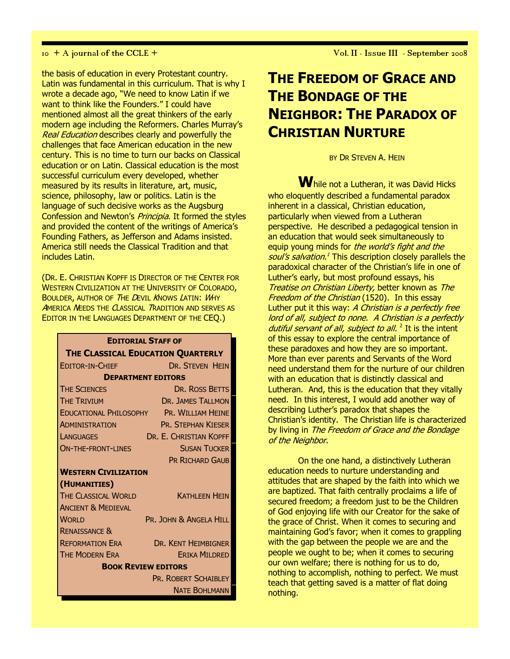the basis of education in every Protestant country. Latin was fundamental in this curriculum. That is why I wrote a decade ago, "We need to know Latin if we want to think like the Founders." I could have mentioned almost all the great thinkers of the early modern age including the Reformers. Charles Murray's **Real Education describes clearly and powerfully the** challenges that face American education in the new century. This is no time to turn our backs on Classical education or on Latin. Classical education is the most successful curriculum every developed, whether measured by its results in literature, art, music, science, philosophy, law or politics. Latin is the language of such decisive works as the Augsburg Confession and Newton's *Principia*. It formed the styles and provided the content of the writings of America's Founding Fathers, as Jefferson and Adams insisted. America still needs the Classical Tradition and that includes Latin.

(DR. E. CHRISTIAN KOPFF IS DIRECTOR OF THE CENTER FOR WESTERN CIVILIZATION AT THE UNIVERSITY OF COLORADO, BOULDER, AUTHOR OF THE DEVIL KNOWS LATIN: WHY AMERICA NEEDS THE CLASSICAL TRADITION AND SERVES AS EDITOR IN THE LANGUAGES DEPARTMENT OF THE CEQ.)

| <b>EDITORIAL STAFF OF</b>         |                                                                                                                                          |  |
|-----------------------------------|------------------------------------------------------------------------------------------------------------------------------------------|--|
| THE CLASSICAL EDUCATION QUARTERLY |                                                                                                                                          |  |
| <b>EDITOR-IN-CHIEF</b>            | <b>Contract Contract Contract Contract Contract Contract Contract Contract Contract Contract Contract Contract Co</b><br>DR. STEVEN HEIN |  |
| <b>DEPARTMENT EDITORS</b>         |                                                                                                                                          |  |
| <b>THE SCIENCES</b>               | DR. ROSS BETTS                                                                                                                           |  |
| <b>THE TRIVIUM</b>                | DR. JAMES TALLMON                                                                                                                        |  |
|                                   | EDUCATIONAL PHILOSOPHY PR. WILLIAM HEINE                                                                                                 |  |
| ADMINISTRATION                    | <b>PR. STEPHAN KIESER</b>                                                                                                                |  |
| LANGUAGES                         | DR. E. CHRISTIAN KOPFF                                                                                                                   |  |
| <b>ON-THE-FRONT-LINES</b>         | <b>SUSAN TUCKER</b>                                                                                                                      |  |
|                                   | <b>PR RICHARD GAUB</b>                                                                                                                   |  |
| <b>WESTERN CIVILIZATION</b>       |                                                                                                                                          |  |
| (HUMANITIES)                      |                                                                                                                                          |  |
| THE CLASSICAL WORLD               | <b>KATHLEEN HEIN</b>                                                                                                                     |  |
| <b>ANCIENT &amp; MEDIEVAL</b>     |                                                                                                                                          |  |
| WORI D                            | PR. JOHN & ANGELA HILL                                                                                                                   |  |
| <b>RENAISSANCE &amp;</b>          |                                                                                                                                          |  |
| <b>REFORMATION ERA</b>            | <b>Example 12 DR. KENT HEIMBIGNER</b>                                                                                                    |  |
| <b>THE MODERN FRA</b>             | <b>ERIKA MILDRED</b>                                                                                                                     |  |
| <b>BOOK REVIEW EDITORS</b>        |                                                                                                                                          |  |
|                                   | PR. ROBERT SCHAIBLEY                                                                                                                     |  |
|                                   | <b>NATE BOHLMANN</b>                                                                                                                     |  |

## THE FREEDOM OF GRACE AND THE BONDAGE OF THE NEIGHBOR: THE PARADOX OF **CHRISTIAN NURTURE**

BY DR STEVEN A. HEIN

While not a Lutheran, it was David Hicks who eloquently described a fundamental paradox inherent in a classical, Christian education, particularly when viewed from a Lutheran perspective. He described a pedagogical tension in an education that would seek simultaneously to equip young minds for the world's fight and the soul's salvation.<sup>1</sup> This description closely parallels the paradoxical character of the Christian's life in one of Luther's early, but most profound essays, his Treatise on Christian Liberty, better known as The Freedom of the Christian (1520). In this essay Luther put it this way: A Christian is a perfectly free lord of all, subject to none. A Christian is a perfectly dutiful servant of all, subject to all.<sup>2</sup> It is the intent of this essay to explore the central importance of these paradoxes and how they are so important. More than ever parents and Servants of the Word need understand them for the nurture of our children with an education that is distinctly classical and Lutheran. And, this is the education that they vitally need. In this interest, I would add another way of describing Luther's paradox that shapes the Christian's identity. The Christian life is characterized by living in The Freedom of Grace and the Bondage of the Neighbor.

On the one hand, a distinctively Lutheran education needs to nurture understanding and attitudes that are shaped by the faith into which we are baptized. That faith centrally proclaims a life of secured freedom; a freedom just to be the Children of God enjoying life with our Creator for the sake of the grace of Christ. When it comes to securing and maintaining God's favor; when it comes to grappling with the gap between the people we are and the people we ought to be; when it comes to securing our own welfare; there is nothing for us to do, nothing to accomplish, nothing to perfect. We must teach that getting saved is a matter of flat doing nothing.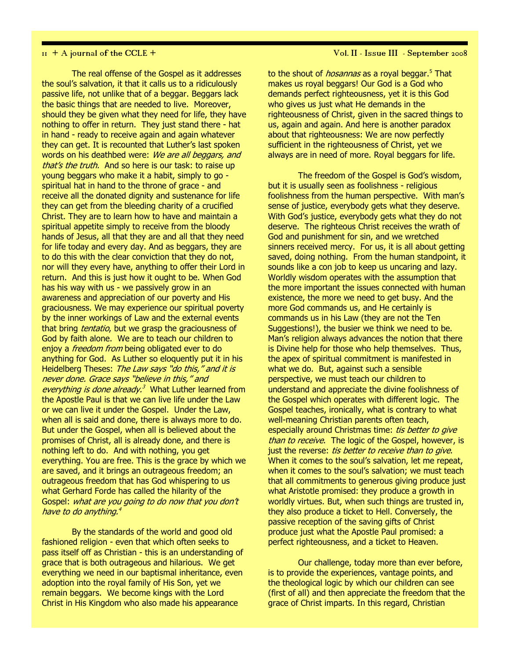The real offense of the Gospel as it addresses the soul's salvation, it that it calls us to a ridiculously passive life, not unlike that of a beggar. Beggars lack the basic things that are needed to live. Moreover, should they be given what they need for life, they have nothing to offer in return. They just stand there - hat in hand - ready to receive again and again whatever they can get. It is recounted that Luther's last spoken words on his deathbed were: We are all beggars, and that's the truth. And so here is our task: to raise up young beggars who make it a habit, simply to go spiritual hat in hand to the throne of grace - and receive all the donated dignity and sustenance for life they can get from the bleeding charity of a crucified Christ. They are to learn how to have and maintain a spiritual appetite simply to receive from the bloody hands of Jesus, all that they are and all that they need for life today and every day. And as beggars, they are to do this with the clear conviction that they do not, nor will they every have, anything to offer their Lord in return. And this is just how it ought to be. When God has his way with us - we passively grow in an awareness and appreciation of our poverty and His graciousness. We may experience our spiritual poverty by the inner workings of Law and the external events that bring *tentatio*, but we grasp the graciousness of God by faith alone. We are to teach our children to enjoy a *freedom from* being obligated ever to do anything for God. As Luther so eloquently put it in his Heidelberg Theses: The Law says "do this," and it is never done. Grace says "believe in this," and everything is done already.<sup>3</sup> What Luther learned from the Apostle Paul is that we can live life under the Law or we can live it under the Gospel. Under the Law, when all is said and done, there is always more to do. But under the Gospel, when all is believed about the promises of Christ, all is already done, and there is nothing left to do. And with nothing, you get everything. You are free. This is the grace by which we are saved, and it brings an outrageous freedom; an outrageous freedom that has God whispering to us what Gerhard Forde has called the hilarity of the Gospel: what are you going to do now that you don't have to do anything. 4

By the standards of the world and good old fashioned religion - even that which often seeks to pass itself off as Christian - this is an understanding of grace that is both outrageous and hilarious. We get everything we need in our baptismal inheritance, even adoption into the royal family of His Son, yet we remain beggars. We become kings with the Lord Christ in His Kingdom who also made his appearance

### 11 + A journal of the CCLE + Vol. II - Issue III - September 2008

to the shout of *hosannas* as a royal beggar.<sup>5</sup> That makes us royal beggars! Our God is a God who demands perfect righteousness, yet it is this God who gives us just what He demands in the righteousness of Christ, given in the sacred things to us, again and again. And here is another paradox about that righteousness: We are now perfectly sufficient in the righteousness of Christ, yet we always are in need of more. Royal beggars for life.

The freedom of the Gospel is God's wisdom, but it is usually seen as foolishness - religious foolishness from the human perspective. With man's sense of justice, everybody gets what they deserve. With God's justice, everybody gets what they do not deserve. The righteous Christ receives the wrath of God and punishment for sin, and we wretched sinners received mercy. For us, it is all about getting saved, doing nothing. From the human standpoint, it sounds like a con job to keep us uncaring and lazy. Worldly wisdom operates with the assumption that the more important the issues connected with human existence, the more we need to get busy. And the more God commands us, and He certainly is commands us in his Law (they are not the Ten Suggestions!), the busier we think we need to be. Man's religion always advances the notion that there is Divine help for those who help themselves. Thus, the apex of spiritual commitment is manifested in what we do. But, against such a sensible perspective, we must teach our children to understand and appreciate the divine foolishness of the Gospel which operates with different logic. The Gospel teaches, ironically, what is contrary to what well-meaning Christian parents often teach, especially around Christmas time: tis better to give than to receive. The logic of the Gospel, however, is just the reverse: *tis better to receive than to give*. When it comes to the soul's salvation, let me repeat, when it comes to the soul's salvation; we must teach that all commitments to generous giving produce just what Aristotle promised: they produce a growth in worldly virtues. But, when such things are trusted in, they also produce a ticket to Hell. Conversely, the passive reception of the saving gifts of Christ produce just what the Apostle Paul promised: a perfect righteousness, and a ticket to Heaven.

Our challenge, today more than ever before, is to provide the experiences, vantage points, and the theological logic by which our children can see (first of all) and then appreciate the freedom that the grace of Christ imparts. In this regard, Christian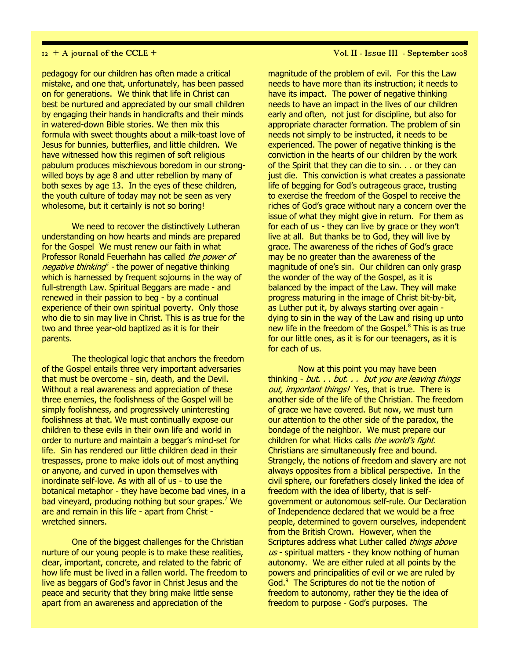pedagogy for our children has often made a critical mistake, and one that, unfortunately, has been passed on for generations. We think that life in Christ can best be nurtured and appreciated by our small children by engaging their hands in handicrafts and their minds in watered-down Bible stories. We then mix this formula with sweet thoughts about a milk-toast love of Jesus for bunnies, butterflies, and little children. We have witnessed how this regimen of soft religious pabulum produces mischievous boredom in our strongwilled boys by age 8 and utter rebellion by many of both sexes by age 13. In the eyes of these children, the youth culture of today may not be seen as very wholesome, but it certainly is not so boring!

We need to recover the distinctively Lutheran understanding on how hearts and minds are prepared for the Gospel We must renew our faith in what Professor Ronald Feuerhahn has called the power of *negative thinking*<sup>6</sup> - the power of negative thinking which is harnessed by frequent sojourns in the way of full-strength Law. Spiritual Beggars are made - and renewed in their passion to beg - by a continual experience of their own spiritual poverty. Only those who die to sin may live in Christ. This is as true for the two and three year-old baptized as it is for their parents.

The theological logic that anchors the freedom of the Gospel entails three very important adversaries that must be overcome - sin, death, and the Devil. Without a real awareness and appreciation of these three enemies, the foolishness of the Gospel will be simply foolishness, and progressively uninteresting foolishness at that. We must continually expose our children to these evils in their own life and world in order to nurture and maintain a beggar's mind-set for life. Sin has rendered our little children dead in their trespasses, prone to make idols out of most anything or anyone, and curved in upon themselves with inordinate self-love. As with all of us - to use the botanical metaphor - they have become bad vines, in a bad vineyard, producing nothing but sour grapes.<sup>7</sup> We are and remain in this life - apart from Christ wretched sinners.

One of the biggest challenges for the Christian nurture of our young people is to make these realities, clear, important, concrete, and related to the fabric of how life must be lived in a fallen world. The freedom to live as beggars of God's favor in Christ Jesus and the peace and security that they bring make little sense apart from an awareness and appreciation of the

## $12 + A$  journal of the CCLE +  $V$ ol. II - Issue III - September 2008

magnitude of the problem of evil. For this the Law needs to have more than its instruction; it needs to have its impact. The power of negative thinking needs to have an impact in the lives of our children early and often, not just for discipline, but also for appropriate character formation. The problem of sin needs not simply to be instructed, it needs to be experienced. The power of negative thinking is the conviction in the hearts of our children by the work of the Spirit that they can die to sin. . . or they can just die. This conviction is what creates a passionate life of begging for God's outrageous grace, trusting to exercise the freedom of the Gospel to receive the riches of God's grace without nary a concern over the issue of what they might give in return. For them as for each of us - they can live by grace or they won't live at all. But thanks be to God, they will live by grace. The awareness of the riches of God's grace may be no greater than the awareness of the magnitude of one's sin. Our children can only grasp the wonder of the way of the Gospel, as it is balanced by the impact of the Law. They will make progress maturing in the image of Christ bit-by-bit, as Luther put it, by always starting over again dying to sin in the way of the Law and rising up unto new life in the freedom of the Gospel.<sup>8</sup> This is as true for our little ones, as it is for our teenagers, as it is for each of us.

Now at this point you may have been thinking - but.  $\ldots$  but.  $\ldots$  but you are leaving things out, important things! Yes, that is true. There is another side of the life of the Christian. The freedom of grace we have covered. But now, we must turn our attention to the other side of the paradox, the bondage of the neighbor. We must prepare our children for what Hicks calls the world's fight. Christians are simultaneously free and bound. Strangely, the notions of freedom and slavery are not always opposites from a biblical perspective. In the civil sphere, our forefathers closely linked the idea of freedom with the idea of liberty, that is selfgovernment or autonomous self-rule. Our Declaration of Independence declared that we would be a free people, determined to govern ourselves, independent from the British Crown. However, when the Scriptures address what Luther called *things above*  $\mu$ s - spiritual matters - they know nothing of human autonomy. We are either ruled at all points by the powers and principalities of evil or we are ruled by God.<sup>9</sup> The Scriptures do not tie the notion of freedom to autonomy, rather they tie the idea of freedom to purpose - God's purposes. The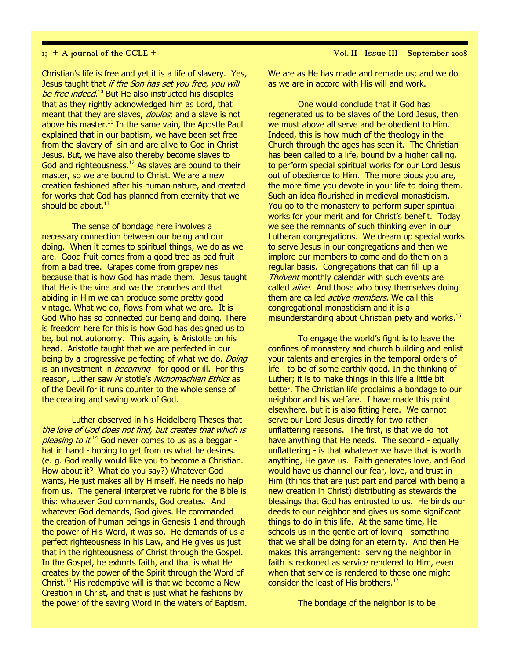Christian's life is free and yet it is a life of slavery. Yes, Jesus taught that if the Son has set you free, you will be free indeed.<sup>10</sup> But He also instructed his disciples that as they rightly acknowledged him as Lord, that meant that they are slaves, *doulos*, and a slave is not above his master. $11$  In the same vain, the Apostle Paul explained that in our baptism, we have been set free from the slavery of sin and are alive to God in Christ Jesus. But, we have also thereby become slaves to God and righteousness.<sup>12</sup> As slaves are bound to their master, so we are bound to Christ. We are a new creation fashioned after his human nature, and created for works that God has planned from eternity that we should be about. $13$ 

The sense of bondage here involves a necessary connection between our being and our doing. When it comes to spiritual things, we do as we are. Good fruit comes from a good tree as bad fruit from a bad tree. Grapes come from grapevines because that is how God has made them. Jesus taught that He is the vine and we the branches and that abiding in Him we can produce some pretty good vintage. What we do, flows from what we are. It is God Who has so connected our being and doing. There is freedom here for this is how God has designed us to be, but not autonomy. This again, is Aristotle on his head. Aristotle taught that we are perfected in our being by a progressive perfecting of what we do. Doing is an investment in *becoming* - for good or ill. For this reason, Luther saw Aristotle's Nichomachian Ethics as of the Devil for it runs counter to the whole sense of the creating and saving work of God.

Luther observed in his Heidelberg Theses that the love of God does not find, but creates that which is pleasing to it.<sup>14</sup> God never comes to us as a beggar hat in hand - hoping to get from us what he desires. (e. g. God really would like you to become a Christian. How about it? What do you say?) Whatever God wants, He just makes all by Himself. He needs no help from us. The general interpretive rubric for the Bible is this: whatever God commands, God creates. And whatever God demands, God gives. He commanded the creation of human beings in Genesis 1 and through the power of His Word, it was so. He demands of us a perfect righteousness in his Law, and He gives us just that in the righteousness of Christ through the Gospel. In the Gospel, he exhorts faith, and that is what He creates by the power of the Spirit through the Word of Christ.<sup>15</sup> His redemptive will is that we become a New Creation in Christ, and that is just what he fashions by the power of the saving Word in the waters of Baptism.

 $13 + A$  journal of the CCLE +  $V$ ol. II - Issue III - September 2008

We are as He has made and remade us; and we do as we are in accord with His will and work.

One would conclude that if God has regenerated us to be slaves of the Lord Jesus, then we must above all serve and be obedient to Him. Indeed, this is how much of the theology in the Church through the ages has seen it. The Christian has been called to a life, bound by a higher calling, to perform special spiritual works for our Lord Jesus out of obedience to Him. The more pious you are, the more time you devote in your life to doing them. Such an idea flourished in medieval monasticism. You go to the monastery to perform super spiritual works for your merit and for Christ's benefit. Today we see the remnants of such thinking even in our Lutheran congregations. We dream up special works to serve Jesus in our congregations and then we implore our members to come and do them on a regular basis. Congregations that can fill up a Thrivent monthly calendar with such events are called *alive*. And those who busy themselves doing them are called *active members*. We call this congregational monasticism and it is a misunderstanding about Christian piety and works.<sup>16</sup>

To engage the world's fight is to leave the confines of monastery and church building and enlist your talents and energies in the temporal orders of life - to be of some earthly good. In the thinking of Luther; it is to make things in this life a little bit better. The Christian life proclaims a bondage to our neighbor and his welfare. I have made this point elsewhere, but it is also fitting here. We cannot serve our Lord Jesus directly for two rather unflattering reasons. The first, is that we do not have anything that He needs. The second - equally unflattering - is that whatever we have that is worth anything, He gave us. Faith generates love, and God would have us channel our fear, love, and trust in Him (things that are just part and parcel with being a new creation in Christ) distributing as stewards the blessings that God has entrusted to us. He binds our deeds to our neighbor and gives us some significant things to do in this life. At the same time, He schools us in the gentle art of loving - something that we shall be doing for an eternity. And then He makes this arrangement: serving the neighbor in faith is reckoned as service rendered to Him, even when that service is rendered to those one might consider the least of His brothers.<sup>17</sup>

The bondage of the neighbor is to be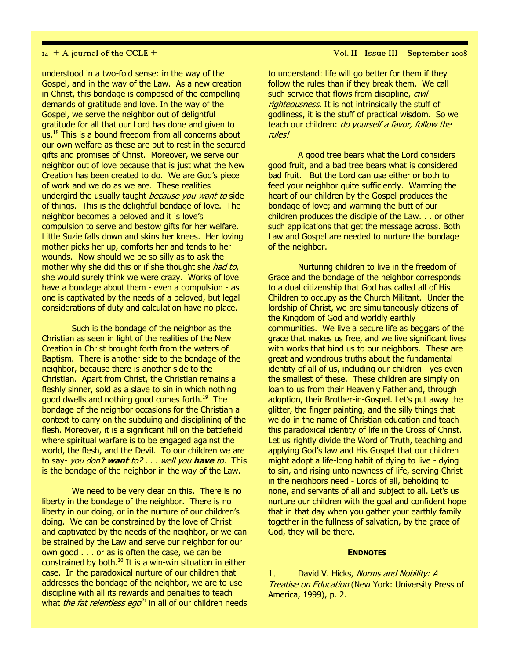understood in a two-fold sense: in the way of the Gospel, and in the way of the Law. As a new creation in Christ, this bondage is composed of the compelling demands of gratitude and love. In the way of the Gospel, we serve the neighbor out of delightful gratitude for all that our Lord has done and given to  $us.<sup>18</sup>$  This is a bound freedom from all concerns about our own welfare as these are put to rest in the secured gifts and promises of Christ. Moreover, we serve our neighbor out of love because that is just what the New Creation has been created to do. We are God's piece of work and we do as we are. These realities undergird the usually taught *because-you-want-to* side of things. This is the delightful bondage of love. The neighbor becomes a beloved and it is love's compulsion to serve and bestow gifts for her welfare. Little Suzie falls down and skins her knees. Her loving mother picks her up, comforts her and tends to her wounds. Now should we be so silly as to ask the mother why she did this or if she thought she *had to*, she would surely think we were crazy. Works of love have a bondage about them - even a compulsion - as one is captivated by the needs of a beloved, but legal considerations of duty and calculation have no place.

Such is the bondage of the neighbor as the Christian as seen in light of the realities of the New Creation in Christ brought forth from the waters of Baptism. There is another side to the bondage of the neighbor, because there is another side to the Christian. Apart from Christ, the Christian remains a fleshly sinner, sold as a slave to sin in which nothing good dwells and nothing good comes forth. $19$  The bondage of the neighbor occasions for the Christian a context to carry on the subduing and disciplining of the flesh. Moreover, it is a significant hill on the battlefield where spiritual warfare is to be engaged against the world, the flesh, and the Devil. To our children we are to say- you don't want to?... well you have to. This is the bondage of the neighbor in the way of the Law.

We need to be very clear on this. There is no liberty in the bondage of the neighbor. There is no liberty in our doing, or in the nurture of our children's doing. We can be constrained by the love of Christ and captivated by the needs of the neighbor, or we can be strained by the Law and serve our neighbor for our own good . . . or as is often the case, we can be constrained by both.<sup>20</sup> It is a win-win situation in either case. In the paradoxical nurture of our children that addresses the bondage of the neighbor, we are to use discipline with all its rewards and penalties to teach what *the fat relentless ego<sup>21</sup>* in all of our children needs

### $14 + A$  journal of the CCLE +  $\text{Vol. II - Isue III - September 2008}$

to understand: life will go better for them if they follow the rules than if they break them. We call such service that flows from discipline, civil righteousness. It is not intrinsically the stuff of godliness, it is the stuff of practical wisdom. So we teach our children: *do yourself a favor, follow the* rules!

A good tree bears what the Lord considers good fruit, and a bad tree bears what is considered bad fruit. But the Lord can use either or both to feed your neighbor quite sufficiently. Warming the heart of our children by the Gospel produces the bondage of love; and warming the butt of our children produces the disciple of the Law. . . or other such applications that get the message across. Both Law and Gospel are needed to nurture the bondage of the neighbor.

Nurturing children to live in the freedom of Grace and the bondage of the neighbor corresponds to a dual citizenship that God has called all of His Children to occupy as the Church Militant. Under the lordship of Christ, we are simultaneously citizens of the Kingdom of God and worldly earthly communities. We live a secure life as beggars of the grace that makes us free, and we live significant lives with works that bind us to our neighbors. These are great and wondrous truths about the fundamental identity of all of us, including our children - yes even the smallest of these. These children are simply on loan to us from their Heavenly Father and, through adoption, their Brother-in-Gospel. Let's put away the glitter, the finger painting, and the silly things that we do in the name of Christian education and teach this paradoxical identity of life in the Cross of Christ. Let us rightly divide the Word of Truth, teaching and applying God's law and His Gospel that our children might adopt a life-long habit of dying to live - dying to sin, and rising unto newness of life, serving Christ in the neighbors need - Lords of all, beholding to none, and servants of all and subject to all. Let's us nurture our children with the goal and confident hope that in that day when you gather your earthly family together in the fullness of salvation, by the grace of God, they will be there.

### **ENDNOTES**

1. David V. Hicks, Norms and Nobility: A **Treatise on Education (New York: University Press of** America, 1999), p. 2.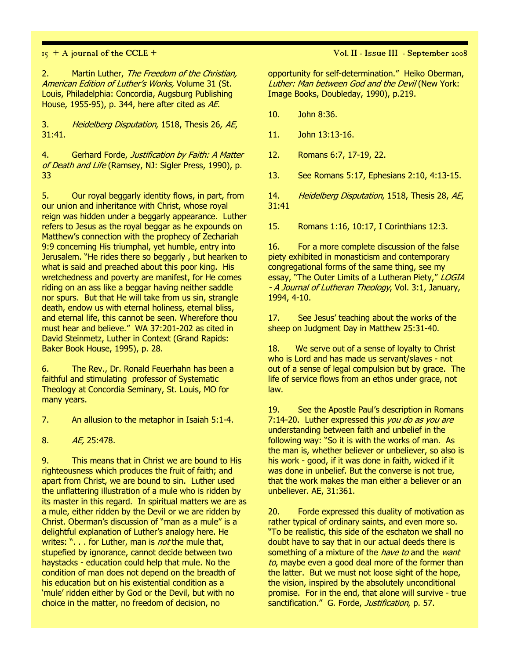2. Martin Luther, The Freedom of the Christian, American Edition of Luther's Works, Volume 31 (St. Louis, Philadelphia: Concordia, Augsburg Publishing House, 1955-95), p. 344, here after cited as AE.

3. Heidelberg Disputation, 1518, Thesis 26, AE, 31:41.

4. Gerhard Forde, Justification by Faith: A Matter of Death and Life (Ramsey, NJ: Sigler Press, 1990), p. 33

5. Our royal beggarly identity flows, in part, from our union and inheritance with Christ, whose royal reign was hidden under a beggarly appearance. Luther refers to Jesus as the royal beggar as he expounds on Matthew's connection with the prophecy of Zechariah 9:9 concerning His triumphal, yet humble, entry into Jerusalem. "He rides there so beggarly , but hearken to what is said and preached about this poor king. His wretchedness and poverty are manifest, for He comes riding on an ass like a beggar having neither saddle nor spurs. But that He will take from us sin, strangle death, endow us with eternal holiness, eternal bliss, and eternal life, this cannot be seen. Wherefore thou must hear and believe." WA 37:201-202 as cited in David Steinmetz, Luther in Context (Grand Rapids: Baker Book House, 1995), p. 28.

6. The Rev., Dr. Ronald Feuerhahn has been a faithful and stimulating professor of Systematic Theology at Concordia Seminary, St. Louis, MO for many years.

7. An allusion to the metaphor in Isaiah 5:1-4.

8. AE, 25:478.

9. This means that in Christ we are bound to His righteousness which produces the fruit of faith; and apart from Christ, we are bound to sin. Luther used the unflattering illustration of a mule who is ridden by its master in this regard. In spiritual matters we are as a mule, either ridden by the Devil or we are ridden by Christ. Oberman's discussion of "man as a mule" is a delightful explanation of Luther's analogy here. He writes: ". . . for Luther, man is *not* the mule that, stupefied by ignorance, cannot decide between two haystacks - education could help that mule. No the condition of man does not depend on the breadth of his education but on his existential condition as a 'mule' ridden either by God or the Devil, but with no choice in the matter, no freedom of decision, no

opportunity for self-determination." Heiko Oberman, Luther: Man between God and the Devil (New York: Image Books, Doubleday, 1990), p.219.

10. John 8:36.

11. John 13:13-16.

12. Romans 6:7, 17-19, 22.

13. See Romans 5:17, Ephesians 2:10, 4:13-15.

14. Heidelberg Disputation, 1518, Thesis 28, AE, 31:41

15. Romans 1:16, 10:17, I Corinthians 12:3.

16. For a more complete discussion of the false piety exhibited in monasticism and contemporary congregational forms of the same thing, see my essay, "The Outer Limits of a Lutheran Piety," LOGIA - A Journal of Lutheran Theology, Vol. 3:1, January, 1994, 4-10.

17. See Jesus' teaching about the works of the sheep on Judgment Day in Matthew 25:31-40.

18. We serve out of a sense of loyalty to Christ who is Lord and has made us servant/slaves - not out of a sense of legal compulsion but by grace. The life of service flows from an ethos under grace, not law.

19. See the Apostle Paul's description in Romans 7:14-20. Luther expressed this you do as you are understanding between faith and unbelief in the following way: "So it is with the works of man. As the man is, whether believer or unbeliever, so also is his work - good, if it was done in faith, wicked if it was done in unbelief. But the converse is not true, that the work makes the man either a believer or an unbeliever. AE, 31:361.

20. Forde expressed this duality of motivation as rather typical of ordinary saints, and even more so. "To be realistic, this side of the eschaton we shall no doubt have to say that in our actual deeds there is something of a mixture of the *have to* and the *want* to, maybe even a good deal more of the former than the latter. But we must not loose sight of the hope, the vision, inspired by the absolutely unconditional promise. For in the end, that alone will survive - true sanctification." G. Forde, Justification, p. 57.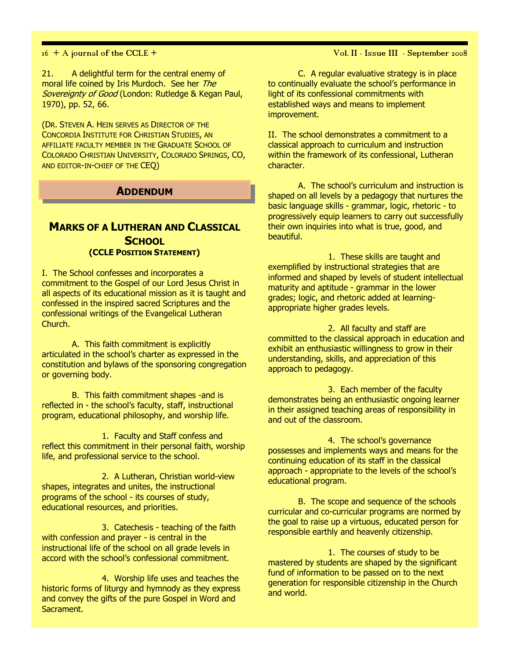21. A delightful term for the central enemy of moral life coined by Iris Murdoch. See her The Sovereignty of Good (London: Rutledge & Kegan Paul, 1970), pp. 52, 66.

(DR. STEVEN A. HEIN SERVES AS DIRECTOR OF THE CONCORDIA INSTITUTE FOR CHRISTIAN STUDIES, AN AFFILIATE FACULTY MEMBER IN THE GRADUATE SCHOOL OF COLORADO CHRISTIAN UNIVERSITY, COLORADO SPRINGS, CO, AND EDITOR-IN-CHIEF OF THE CEQ)

## ADDENDUM

## **MARKS OF A LUTHERAN AND CLASSICAL SCHOOL** (CCLE POSITION STATEMENT)

I. The School confesses and incorporates a commitment to the Gospel of our Lord Jesus Christ in all aspects of its educational mission as it is taught and confessed in the inspired sacred Scriptures and the confessional writings of the Evangelical Lutheran Church.

A. This faith commitment is explicitly articulated in the school's charter as expressed in the constitution and bylaws of the sponsoring congregation or governing body.

B. This faith commitment shapes -and is reflected in - the school's faculty, staff, instructional program, educational philosophy, and worship life.

1. Faculty and Staff confess and reflect this commitment in their personal faith, worship life, and professional service to the school.

2. A Lutheran, Christian world-view shapes, integrates and unites, the instructional programs of the school - its courses of study, educational resources, and priorities.

3. Catechesis - teaching of the faith with confession and prayer - is central in the instructional life of the school on all grade levels in accord with the school's confessional commitment.

4. Worship life uses and teaches the historic forms of liturgy and hymnody as they express and convey the gifts of the pure Gospel in Word and Sacrament.

 $16 + A$  journal of the CCLE +  $V$ ol. II - Issue III - September 2008

C. A regular evaluative strategy is in place to continually evaluate the school's performance in light of its confessional commitments with established ways and means to implement improvement.

II. The school demonstrates a commitment to a classical approach to curriculum and instruction within the framework of its confessional, Lutheran character.

A. The school's curriculum and instruction is shaped on all levels by a pedagogy that nurtures the basic language skills - grammar, logic, rhetoric - to progressively equip learners to carry out successfully their own inquiries into what is true, good, and beautiful.

1. These skills are taught and exemplified by instructional strategies that are informed and shaped by levels of student intellectual maturity and aptitude - grammar in the lower grades; logic, and rhetoric added at learningappropriate higher grades levels.

2. All faculty and staff are committed to the classical approach in education and exhibit an enthusiastic willingness to grow in their understanding, skills, and appreciation of this approach to pedagogy.

3. Each member of the faculty demonstrates being an enthusiastic ongoing learner in their assigned teaching areas of responsibility in and out of the classroom.

4. The school's governance possesses and implements ways and means for the continuing education of its staff in the classical approach - appropriate to the levels of the school's educational program.

B. The scope and sequence of the schools curricular and co-curricular programs are normed by the goal to raise up a virtuous, educated person for responsible earthly and heavenly citizenship.

1. The courses of study to be mastered by students are shaped by the significant fund of information to be passed on to the next generation for responsible citizenship in the Church and world.